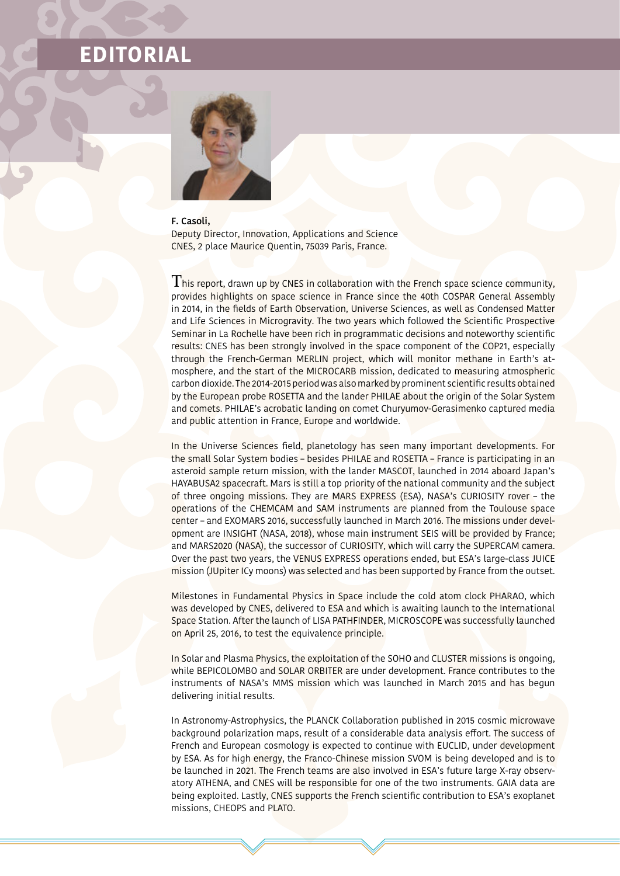## **EDITORIAL**



## **F. Casoli,**

Deputy Director, Innovation, Applications and Science CNES, 2 place Maurice Quentin, 75039 Paris, France.

 $T$  his report, drawn up by CNES in collaboration with the French space science community, provides highlights on space science in France since the 40th COSPAR General Assembly in 2014, in the fields of Earth Observation, Universe Sciences, as well as Condensed Matter and Life Sciences in Microgravity. The two years which followed the Scientific Prospective Seminar in La Rochelle have been rich in programmatic decisions and noteworthy scientific results: CNES has been strongly involved in the space component of the COP21, especially through the French-German MERLIN project, which will monitor methane in Earth's atmosphere, and the start of the MICROCARB mission, dedicated to measuring atmospheric carbon dioxide. The 2014-2015 period was also marked by prominent scientific results obtained by the European probe ROSETTA and the lander PHILAE about the origin of the Solar System and comets. PHILAE's acrobatic landing on comet Churyumov-Gerasimenko captured media and public attention in France, Europe and worldwide.

In the Universe Sciences field, planetology has seen many important developments. For the small Solar System bodies – besides PHILAE and ROSETTA – France is participating in an asteroid sample return mission, with the lander MASCOT, launched in 2014 aboard Japan's HAYABUSA2 spacecraft. Mars is still a top priority of the national community and the subject of three ongoing missions. They are MARS EXPRESS (ESA), NASA's CURIOSITY rover – the operations of the CHEMCAM and SAM instruments are planned from the Toulouse space center – and EXOMARS 2016, successfully launched in March 2016. The missions under development are INSIGHT (NASA, 2018), whose main instrument SEIS will be provided by France; and MARS2020 (NASA), the successor of CURIOSITY, which will carry the SUPERCAM camera. Over the past two years, the VENUS EXPRESS operations ended, but ESA's large-class JUICE mission (JUpiter ICy moons) was selected and has been supported by France from the outset.

Milestones in Fundamental Physics in Space include the cold atom clock PHARAO, which was developed by CNES, delivered to ESA and which is awaiting launch to the International Space Station. After the launch of LISA PATHFINDER, MICROSCOPE was successfully launched on April 25, 2016, to test the equivalence principle.

In Solar and Plasma Physics, the exploitation of the SOHO and CLUSTER missions is ongoing, while BEPICOLOMBO and SOLAR ORBITER are under development. France contributes to the instruments of NASA's MMS mission which was launched in March 2015 and has begun delivering initial results.

In Astronomy-Astrophysics, the PLANCK Collaboration published in 2015 cosmic microwave background polarization maps, result of a considerable data analysis effort. The success of French and European cosmology is expected to continue with EUCLID, under development by ESA. As for high energy, the Franco-Chinese mission SVOM is being developed and is to be launched in 2021. The French teams are also involved in ESA's future large X-ray observatory ATHENA, and CNES will be responsible for one of the two instruments. GAIA data are being exploited. Lastly, CNES supports the French scientific contribution to ESA's exoplanet missions, CHEOPS and PLATO.